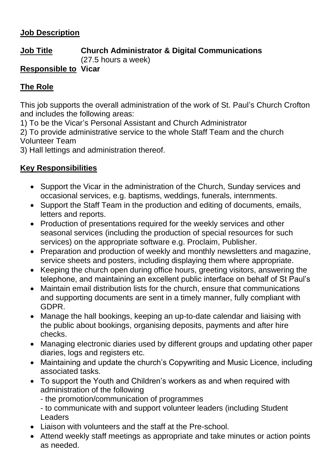#### **Job Description**

# **Job Title Church Administrator & Digital Communications**

(27.5 hours a week)

### **Responsible to Vicar**

## **The Role**

This job supports the overall administration of the work of St. Paul's Church Crofton and includes the following areas:

1) To be the Vicar's Personal Assistant and Church Administrator

2) To provide administrative service to the whole Staff Team and the church Volunteer Team

3) Hall lettings and administration thereof.

#### **Key Responsibilities**

- Support the Vicar in the administration of the Church, Sunday services and occasional services, e.g. baptisms, weddings, funerals, internments.
- Support the Staff Team in the production and editing of documents, emails, letters and reports.
- Production of presentations required for the weekly services and other seasonal services (including the production of special resources for such services) on the appropriate software e.g. Proclaim, Publisher.
- Preparation and production of weekly and monthly newsletters and magazine, service sheets and posters, including displaying them where appropriate.
- Keeping the church open during office hours, greeting visitors, answering the telephone, and maintaining an excellent public interface on behalf of St Paul's
- Maintain email distribution lists for the church, ensure that communications and supporting documents are sent in a timely manner, fully compliant with GDPR.
- Manage the hall bookings, keeping an up-to-date calendar and liaising with the public about bookings, organising deposits, payments and after hire checks.
- Managing electronic diaries used by different groups and updating other paper diaries, logs and registers etc.
- Maintaining and update the church's Copywriting and Music Licence, including associated tasks.
- To support the Youth and Children's workers as and when required with administration of the following
	- the promotion/communication of programmes

- to communicate with and support volunteer leaders (including Student Leaders

- Liaison with volunteers and the staff at the Pre-school.
- Attend weekly staff meetings as appropriate and take minutes or action points as needed.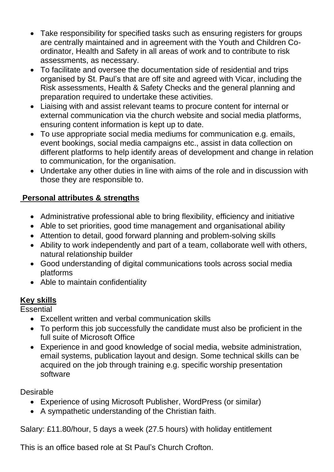- Take responsibility for specified tasks such as ensuring registers for groups are centrally maintained and in agreement with the Youth and Children Coordinator, Health and Safety in all areas of work and to contribute to risk assessments, as necessary.
- To facilitate and oversee the documentation side of residential and trips organised by St. Paul's that are off site and agreed with Vicar, including the Risk assessments, Health & Safety Checks and the general planning and preparation required to undertake these activities.
- Liaising with and assist relevant teams to procure content for internal or external communication via the church website and social media platforms, ensuring content information is kept up to date.
- To use appropriate social media mediums for communication e.g. emails, event bookings, social media campaigns etc., assist in data collection on different platforms to help identify areas of development and change in relation to communication, for the organisation.
- Undertake any other duties in line with aims of the role and in discussion with those they are responsible to.

# **Personal attributes & strengths**

- Administrative professional able to bring flexibility, efficiency and initiative
- Able to set priorities, good time management and organisational ability
- Attention to detail, good forward planning and problem-solving skills
- Ability to work independently and part of a team, collaborate well with others, natural relationship builder
- Good understanding of digital communications tools across social media platforms
- Able to maintain confidentiality

# **Key skills**

**Essential** 

- Excellent written and verbal communication skills
- To perform this job successfully the candidate must also be proficient in the full suite of Microsoft Office
- Experience in and good knowledge of social media, website administration, email systems, publication layout and design. Some technical skills can be acquired on the job through training e.g. specific worship presentation software

Desirable

- Experience of using Microsoft Publisher, WordPress (or similar)
- A sympathetic understanding of the Christian faith.

Salary: £11.80/hour, 5 days a week (27.5 hours) with holiday entitlement

This is an office based role at St Paul's Church Crofton.